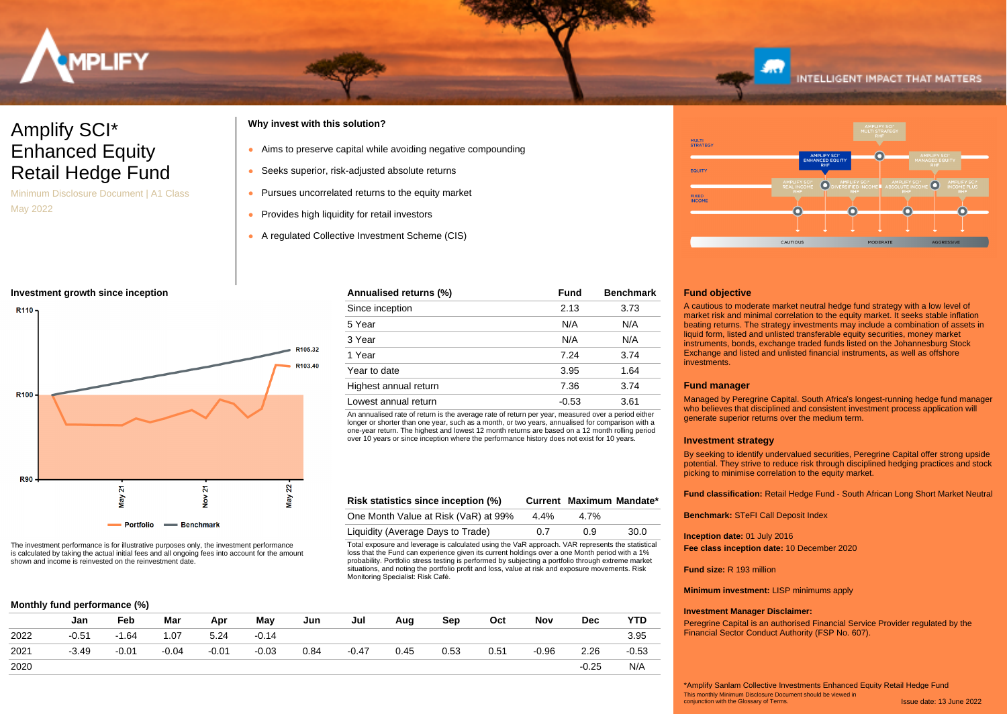

## Amplify SCI\* Enhanced Equity Retail Hedge Fund

Minimum Disclosure Document | A1 Class May 2022

## **Why invest with this solution?**

- Aims to preserve capital while avoiding negative compounding
- Seeks superior, risk-adjusted absolute returns
- Pursues uncorrelated returns to the equity market
- Provides high liquidity for retail investors
- A regulated Collective Investment Scheme (CIS)

## **Investment growth since inception**



The investment performance is for illustrative purposes only, the investment performance is calculated by taking the actual initial fees and all ongoing fees into account for the amount shown and income is reinvested on the reinvestment date.

## **Monthly fund performance (%)**

|      | Jan     | Feb     | Mar     | Apr     | May     | Jun  | Jul     | Aug  | Sep  | Oct  | Nov     | <b>Dec</b> | <b>YTD</b> |
|------|---------|---------|---------|---------|---------|------|---------|------|------|------|---------|------------|------------|
| 2022 | $-0.51$ | $-1.64$ | 1.07    | 5.24    | $-0.14$ |      |         |      |      |      |         |            | 3.95       |
| 2021 | $-3.49$ | $-0.01$ | $-0.04$ | $-0.01$ | $-0.03$ | 0.84 | $-0.47$ | 0.45 | 0.53 | 0.51 | $-0.96$ | 2.26       | $-0.53$    |
| 2020 |         |         |         |         |         |      |         |      |      |      |         | $-0.25$    | N/A        |



An annualised rate of return is the average rate of return per year, measured over a period either longer or shorter than one year, such as a month, or two years, annualised for comparison with a one-year return. The highest and lowest 12 month returns are based on a 12 month rolling period over 10 years or since inception where the performance history does not exist for 10 years.

| Risk statistics since inception (%)  |         |         | Current Maximum Mandate* |
|--------------------------------------|---------|---------|--------------------------|
| One Month Value at Risk (VaR) at 99% | $4.4\%$ | $4.7\%$ |                          |
| Liquidity (Average Days to Trade)    | 0.7     | 0 9     | 30.0                     |

Total exposure and leverage is calculated using the VaR approach. VAR represents the statistical loss that the Fund can experience given its current holdings over a one Month period with a 1% probability. Portfolio stress testing is performed by subjecting a portfolio through extreme market situations, and noting the portfolio profit and loss, value at risk and exposure movements. Risk Monitoring Specialist: Risk Café.



**INTELLIGENT IMPACT THAT MATTERS** 

## **Fund objective**

A cautious to moderate market neutral hedge fund strategy with a low level of market risk and minimal correlation to the equity market. It seeks stable inflation beating returns. The strategy investments may include a combination of assets in liquid form, listed and unlisted transferable equity securities, money market instruments, bonds, exchange traded funds listed on the Johannesburg Stock Exchange and listed and unlisted financial instruments, as well as offshore investments.

## **Fund manager**

Managed by Peregrine Capital. South Africa's longest-running hedge fund manager who believes that disciplined and consistent investment process application will generate superior returns over the medium term.

## **Investment strategy**

By seeking to identify undervalued securities, Peregrine Capital offer strong upside potential. They strive to reduce risk through disciplined hedging practices and stock picking to minimise correlation to the equity market.

**Fund classification:** Retail Hedge Fund - South African Long Short Market Neutral

**Benchmark:** STeFI Call Deposit Index

**Inception date:** 01 July 2016 **Fee class inception date:** 10 December 2020

**Fund size:** R 193 million

**Minimum investment:** LISP minimums apply

## **Investment Manager Disclaimer:**

Peregrine Capital is an authorised Financial Service Provider regulated by the Financial Sector Conduct Authority (FSP No. 607).

Issue date: 13 June 2022 This monthly Minimum Disclosure Document should be viewed in conjunction with the Glossary of Terms. \*Amplify Sanlam Collective Investments Enhanced Equity Retail Hedge Fund